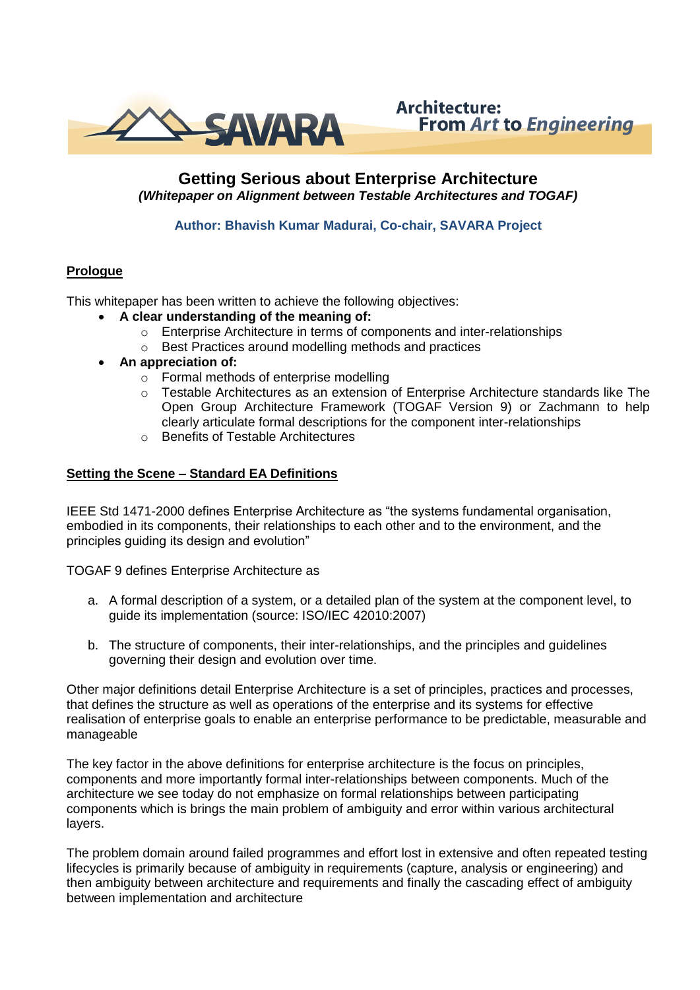

# **Architecture: From Art to Engineering**

# **Getting Serious about Enterprise Architecture**  *(Whitepaper on Alignment between Testable Architectures and TOGAF)*

## **Author: Bhavish Kumar Madurai, Co-chair, SAVARA Project**

# **Prologue**

This whitepaper has been written to achieve the following objectives:

- **A clear understanding of the meaning of:**
	- o Enterprise Architecture in terms of components and inter-relationships
	- o Best Practices around modelling methods and practices
- **An appreciation of:**
	- o Formal methods of enterprise modelling
	- o Testable Architectures as an extension of Enterprise Architecture standards like The Open Group Architecture Framework (TOGAF Version 9) or Zachmann to help clearly articulate formal descriptions for the component inter-relationships
	- o Benefits of Testable Architectures

#### **Setting the Scene – Standard EA Definitions**

IEEE Std 1471-2000 defines Enterprise Architecture as "the systems fundamental organisation, embodied in its components, their relationships to each other and to the environment, and the principles guiding its design and evolution"

TOGAF 9 defines Enterprise Architecture as

- a. A formal description of a system, or a detailed plan of the system at the component level, to guide its implementation (source: ISO/IEC 42010:2007)
- b. The structure of components, their inter-relationships, and the principles and guidelines governing their design and evolution over time.

Other major definitions detail Enterprise Architecture is a set of principles, practices and processes, that defines the structure as well as operations of the enterprise and its systems for effective realisation of enterprise goals to enable an enterprise performance to be predictable, measurable and manageable

The key factor in the above definitions for enterprise architecture is the focus on principles, components and more importantly formal inter-relationships between components. Much of the architecture we see today do not emphasize on formal relationships between participating components which is brings the main problem of ambiguity and error within various architectural layers.

The problem domain around failed programmes and effort lost in extensive and often repeated testing lifecycles is primarily because of ambiguity in requirements (capture, analysis or engineering) and then ambiguity between architecture and requirements and finally the cascading effect of ambiguity between implementation and architecture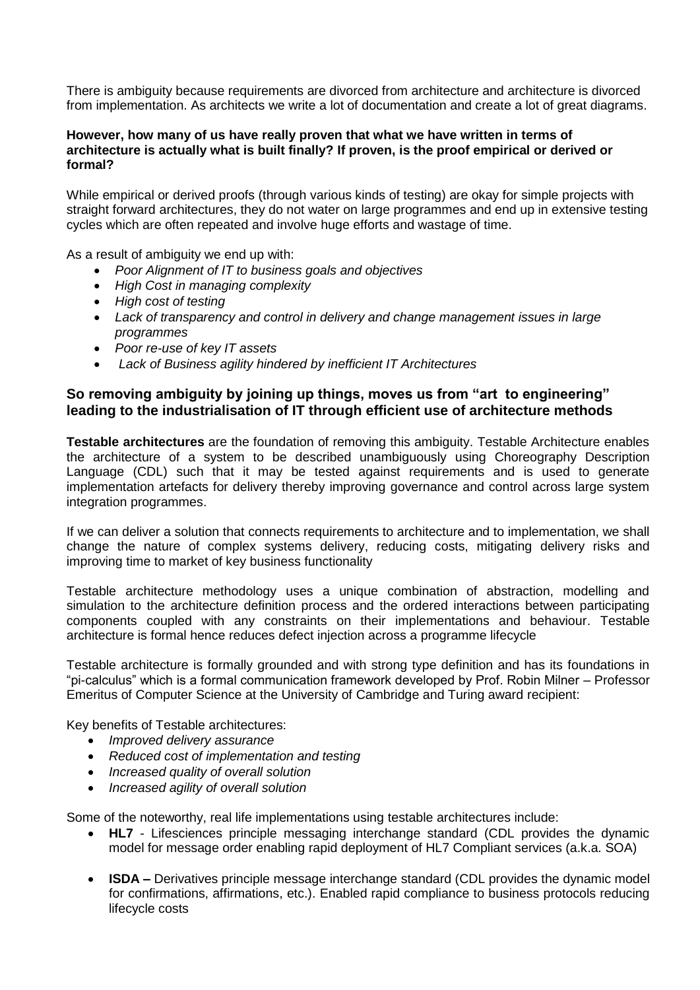There is ambiguity because requirements are divorced from architecture and architecture is divorced from implementation. As architects we write a lot of documentation and create a lot of great diagrams.

#### **However, how many of us have really proven that what we have written in terms of architecture is actually what is built finally? If proven, is the proof empirical or derived or formal?**

While empirical or derived proofs (through various kinds of testing) are okay for simple projects with straight forward architectures, they do not water on large programmes and end up in extensive testing cycles which are often repeated and involve huge efforts and wastage of time.

As a result of ambiguity we end up with:

- *Poor Alignment of IT to business goals and objectives*
- *High Cost in managing complexity*
- *High cost of testing*
- *Lack of transparency and control in delivery and change management issues in large programmes*
- *Poor re-use of key IT assets*
- *Lack of Business agility hindered by inefficient IT Architectures*

## **So removing ambiguity by joining up things, moves us from "art to engineering" leading to the industrialisation of IT through efficient use of architecture methods**

**Testable architectures** are the foundation of removing this ambiguity. Testable Architecture enables the architecture of a system to be described unambiguously using Choreography Description Language (CDL) such that it may be tested against requirements and is used to generate implementation artefacts for delivery thereby improving governance and control across large system integration programmes.

If we can deliver a solution that connects requirements to architecture and to implementation, we shall change the nature of complex systems delivery, reducing costs, mitigating delivery risks and improving time to market of key business functionality

Testable architecture methodology uses a unique combination of abstraction, modelling and simulation to the architecture definition process and the ordered interactions between participating components coupled with any constraints on their implementations and behaviour. Testable architecture is formal hence reduces defect injection across a programme lifecycle

Testable architecture is formally grounded and with strong type definition and has its foundations in "pi-calculus" which is a formal communication framework developed by Prof. Robin Milner – Professor Emeritus of Computer Science at the University of Cambridge and Turing award recipient:

Key benefits of Testable architectures:

- *Improved delivery assurance*
- *Reduced cost of implementation and testing*
- *Increased quality of overall solution*
- *Increased agility of overall solution*

Some of the noteworthy, real life implementations using testable architectures include:

- **HL7** Lifesciences principle messaging interchange standard (CDL provides the dynamic model for message order enabling rapid deployment of HL7 Compliant services (a.k.a. SOA)
- **ISDA –** Derivatives principle message interchange standard (CDL provides the dynamic model for confirmations, affirmations, etc.). Enabled rapid compliance to business protocols reducing lifecycle costs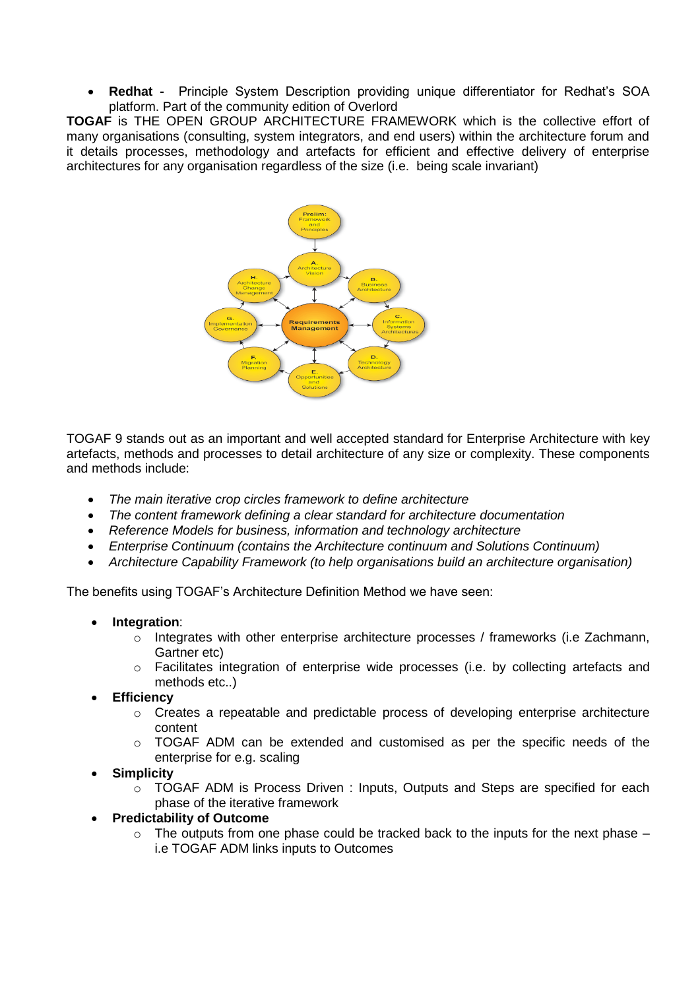**Redhat -** Principle System Description providing unique differentiator for Redhat's SOA platform. Part of the community edition of Overlord

**TOGAF** is THE OPEN GROUP ARCHITECTURE FRAMEWORK which is the collective effort of many organisations (consulting, system integrators, and end users) within the architecture forum and it details processes, methodology and artefacts for efficient and effective delivery of enterprise architectures for any organisation regardless of the size (i.e. being scale invariant)



TOGAF 9 stands out as an important and well accepted standard for Enterprise Architecture with key artefacts, methods and processes to detail architecture of any size or complexity. These components and methods include:

- *The main iterative crop circles framework to define architecture*
- *The content framework defining a clear standard for architecture documentation*
- *Reference Models for business, information and technology architecture*
- *Enterprise Continuum (contains the Architecture continuum and Solutions Continuum)*
- *Architecture Capability Framework (to help organisations build an architecture organisation)*

The benefits using TOGAF's Architecture Definition Method we have seen:

- **Integration**:
	- $\circ$  Integrates with other enterprise architecture processes / frameworks (i.e Zachmann, Gartner etc)
	- $\circ$  Facilitates integration of enterprise wide processes (i.e. by collecting artefacts and methods etc..)
- **Efficiency**
	- o Creates a repeatable and predictable process of developing enterprise architecture content
	- $\circ$  TOGAF ADM can be extended and customised as per the specific needs of the enterprise for e.g. scaling
- **Simplicity**
	- o TOGAF ADM is Process Driven : Inputs, Outputs and Steps are specified for each phase of the iterative framework
- **Predictability of Outcome**
	- $\circ$  The outputs from one phase could be tracked back to the inputs for the next phase i.e TOGAF ADM links inputs to Outcomes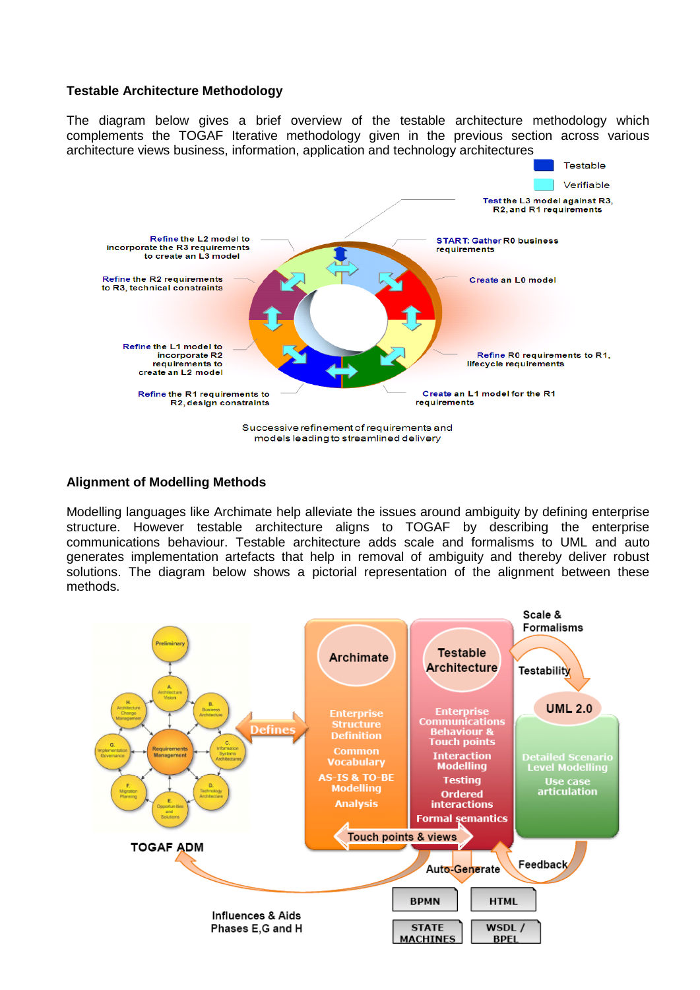### **Testable Architecture Methodology**

The diagram below gives a brief overview of the testable architecture methodology which complements the TOGAF Iterative methodology given in the previous section across various architecture views business, information, application and technology architectures



#### **Alignment of Modelling Methods**

Modelling languages like Archimate help alleviate the issues around ambiguity by defining enterprise structure. However testable architecture aligns to TOGAF by describing the enterprise communications behaviour. Testable architecture adds scale and formalisms to UML and auto generates implementation artefacts that help in removal of ambiguity and thereby deliver robust solutions. The diagram below shows a pictorial representation of the alignment between these methods.